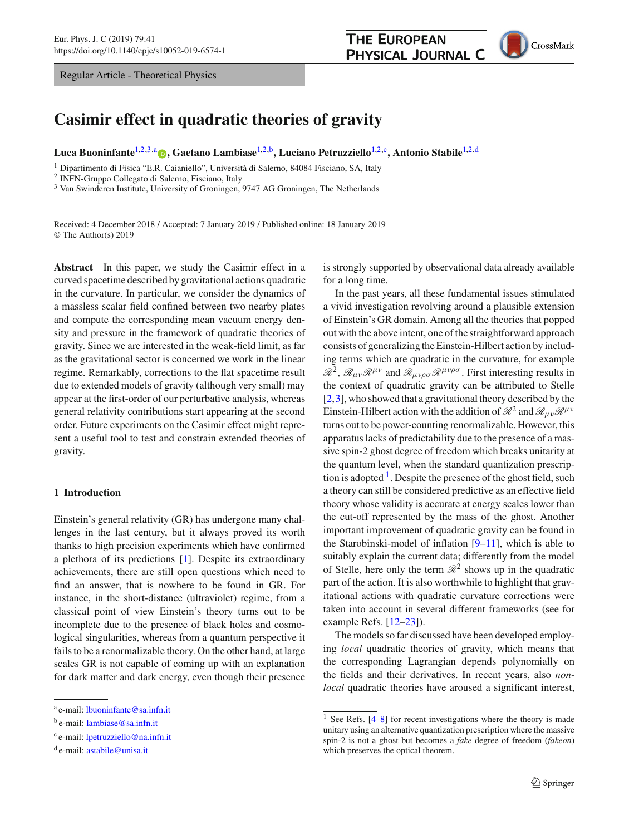Regular Article - Theoretical Physics

## **THE EUROPEAN** PHYSICAL JOURNAL C



# **Casimir effect in quadratic theories of gravity**

**Luca Buoninfante**[1,2](#page-0-0)[,3,](#page-0-1)a **[,](http://orcid.org/0000-0002-1875-8333) Gaetano Lambiase**[1,2,](#page-0-0)b**, Luciano Petruzziello**[1,2,](#page-0-0)c**, Antonio Stabile**[1,2,](#page-0-0)d

<sup>1</sup> Dipartimento di Fisica "E.R. Caianiello", Università di Salerno, 84084 Fisciano, SA, Italy

<sup>2</sup> INFN-Gruppo Collegato di Salerno, Fisciano, Italy

<sup>3</sup> Van Swinderen Institute, University of Groningen, 9747 AG Groningen, The Netherlands

Received: 4 December 2018 / Accepted: 7 January 2019 / Published online: 18 January 2019 © The Author(s) 2019

**Abstract** In this paper, we study the Casimir effect in a curved spacetime described by gravitational actions quadratic in the curvature. In particular, we consider the dynamics of a massless scalar field confined between two nearby plates and compute the corresponding mean vacuum energy density and pressure in the framework of quadratic theories of gravity. Since we are interested in the weak-field limit, as far as the gravitational sector is concerned we work in the linear regime. Remarkably, corrections to the flat spacetime result due to extended models of gravity (although very small) may appear at the first-order of our perturbative analysis, whereas general relativity contributions start appearing at the second order. Future experiments on the Casimir effect might represent a useful tool to test and constrain extended theories of gravity.

## **1 Introduction**

Einstein's general relativity (GR) has undergone many challenges in the last century, but it always proved its worth thanks to high precision experiments which have confirmed a plethora of its predictions [\[1](#page-8-0)]. Despite its extraordinary achievements, there are still open questions which need to find an answer, that is nowhere to be found in GR. For instance, in the short-distance (ultraviolet) regime, from a classical point of view Einstein's theory turns out to be incomplete due to the presence of black holes and cosmological singularities, whereas from a quantum perspective it fails to be a renormalizable theory. On the other hand, at large scales GR is not capable of coming up with an explanation for dark matter and dark energy, even though their presence <span id="page-0-1"></span><span id="page-0-0"></span>is strongly supported by observational data already available for a long time.

In the past years, all these fundamental issues stimulated a vivid investigation revolving around a plausible extension of Einstein's GR domain. Among all the theories that popped out with the above intent, one of the straightforward approach consists of generalizing the Einstein-Hilbert action by including terms which are quadratic in the curvature, for example  $\mathscr{R}^2$ ,  $\mathscr{R}_{\mu\nu}\mathscr{R}^{\mu\nu}$  and  $\mathscr{R}_{\mu\nu\rho\sigma}\mathscr{R}^{\mu\nu\rho\sigma}$ . First interesting results in the context of quadratic gravity can be attributed to Stelle [\[2](#page-8-1),[3\]](#page-8-2), who showed that a gravitational theory described by the Einstein-Hilbert action with the addition of  $\mathcal{R}^2$  and  $\mathcal{R}_{\mu\nu}\mathcal{R}^{\mu\nu}$ turns out to be power-counting renormalizable. However, this apparatus lacks of predictability due to the presence of a massive spin-2 ghost degree of freedom which breaks unitarity at the quantum level, when the standard quantization prescription is adopted  $<sup>1</sup>$  $<sup>1</sup>$  $<sup>1</sup>$ . Despite the presence of the ghost field, such</sup> a theory can still be considered predictive as an effective field theory whose validity is accurate at energy scales lower than the cut-off represented by the mass of the ghost. Another important improvement of quadratic gravity can be found in the Starobinski-model of inflation  $[9-11]$  $[9-11]$ , which is able to suitably explain the current data; differently from the model of Stelle, here only the term  $\mathcal{R}^2$  shows up in the quadratic part of the action. It is also worthwhile to highlight that gravitational actions with quadratic curvature corrections were taken into account in several different frameworks (see for example Refs. [\[12](#page-8-5)[–23\]](#page-8-6)).

The models so far discussed have been developed employing *local* quadratic theories of gravity, which means that the corresponding Lagrangian depends polynomially on the fields and their derivatives. In recent years, also *nonlocal* quadratic theories have aroused a significant interest,

<sup>a</sup> e-mail: [lbuoninfante@sa.infn.it](mailto:lbuoninfante@sa.infn.it)

<sup>&</sup>lt;sup>b</sup> e-mail: [lambiase@sa.infn.it](mailto:lambiase@sa.infn.it)

<sup>c</sup> e-mail: [lpetruzziello@na.infn.it](mailto:lpetruzziello@na.infn.it)

<sup>d</sup> e-mail: [astabile@unisa.it](mailto:astabile@unisa.it)

<span id="page-0-2"></span><sup>&</sup>lt;sup>1</sup> See Refs.  $[4-8]$  $[4-8]$  for recent investigations where the theory is made unitary using an alternative quantization prescription where the massive spin-2 is not a ghost but becomes a *fake* degree of freedom (*fakeon*) which preserves the optical theorem.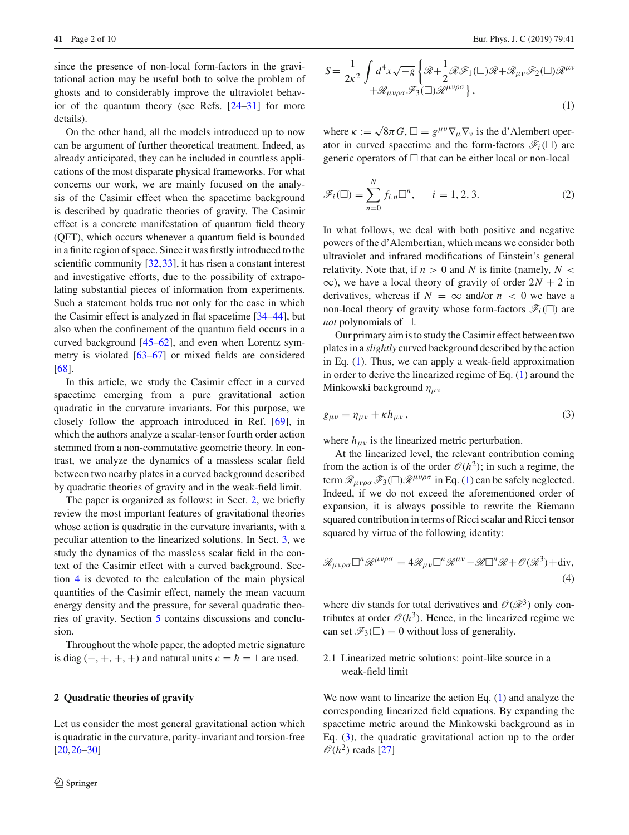since the presence of non-local form-factors in the gravitational action may be useful both to solve the problem of ghosts and to considerably improve the ultraviolet behavior of the quantum theory (see Refs. [\[24](#page-8-9)[–31\]](#page-8-10) for more details).

On the other hand, all the models introduced up to now can be argument of further theoretical treatment. Indeed, as already anticipated, they can be included in countless applications of the most disparate physical frameworks. For what concerns our work, we are mainly focused on the analysis of the Casimir effect when the spacetime background is described by quadratic theories of gravity. The Casimir effect is a concrete manifestation of quantum field theory (QFT), which occurs whenever a quantum field is bounded in a finite region of space. Since it was firstly introduced to the scientific community [\[32](#page-8-11),[33\]](#page-8-12), it has risen a constant interest and investigative efforts, due to the possibility of extrapolating substantial pieces of information from experiments. Such a statement holds true not only for the case in which the Casimir effect is analyzed in flat spacetime [\[34](#page-8-13)[–44](#page-8-14)], but also when the confinement of the quantum field occurs in a curved background [\[45](#page-8-15)[–62](#page-9-0)], and even when Lorentz symmetry is violated [\[63](#page-9-1)[–67](#page-9-2)] or mixed fields are considered [\[68](#page-9-3)].

In this article, we study the Casimir effect in a curved spacetime emerging from a pure gravitational action quadratic in the curvature invariants. For this purpose, we closely follow the approach introduced in Ref. [\[69](#page-9-4)], in which the authors analyze a scalar-tensor fourth order action stemmed from a non-commutative geometric theory. In contrast, we analyze the dynamics of a massless scalar field between two nearby plates in a curved background described by quadratic theories of gravity and in the weak-field limit.

The paper is organized as follows: in Sect. [2,](#page-1-0) we briefly review the most important features of gravitational theories whose action is quadratic in the curvature invariants, with a peculiar attention to the linearized solutions. In Sect. [3,](#page-2-0) we study the dynamics of the massless scalar field in the context of the Casimir effect with a curved background. Section [4](#page-5-0) is devoted to the calculation of the main physical quantities of the Casimir effect, namely the mean vacuum energy density and the pressure, for several quadratic theories of gravity. Section [5](#page-7-0) contains discussions and conclusion.

Throughout the whole paper, the adopted metric signature is diag  $(-, +, +, +)$  and natural units  $c = \hbar = 1$  are used.

#### <span id="page-1-0"></span>**2 Quadratic theories of gravity**

<span id="page-1-1"></span>Let us consider the most general gravitational action which is quadratic in the curvature, parity-invariant and torsion-free [\[20](#page-8-16),[26](#page-8-17)[–30](#page-8-18)]

$$
S = \frac{1}{2\kappa^2} \int d^4x \sqrt{-g} \left\{ \mathcal{R} + \frac{1}{2} \mathcal{R} \mathcal{F}_1(\Box) \mathcal{R} + \mathcal{R}_{\mu\nu} \mathcal{F}_2(\Box) \mathcal{R}^{\mu\nu} + \mathcal{R}_{\mu\nu\rho\sigma} \mathcal{F}_3(\Box) \mathcal{R}^{\mu\nu\rho\sigma} \right\},
$$
\n(1)

where  $\kappa := \sqrt{8\pi G}, \Box = g^{\mu\nu}\nabla_{\mu}\nabla_{\nu}$  is the d'Alembert operator in curved spacetime and the form-factors  $\mathscr{F}_i(\Box)$  are generic operators of  $\Box$  that can be either local or non-local

$$
\mathscr{F}_i(\square) = \sum_{n=0}^N f_{i,n} \square^n, \qquad i = 1, 2, 3. \tag{2}
$$

In what follows, we deal with both positive and negative powers of the d'Alembertian, which means we consider both ultraviolet and infrared modifications of Einstein's general relativity. Note that, if  $n > 0$  and *N* is finite (namely,  $N <$  $\infty$ ), we have a local theory of gravity of order  $2N + 2$  in derivatives, whereas if  $N = \infty$  and/or  $n < 0$  we have a non-local theory of gravity whose form-factors  $\mathscr{F}_i(\square)$  are *not* polynomials of  $\Box$ .

Our primary aim is to study the Casimir effect between two plates in a *slightly* curved background described by the action in Eq. [\(1\)](#page-1-1). Thus, we can apply a weak-field approximation in order to derive the linearized regime of Eq. [\(1\)](#page-1-1) around the Minkowski background  $\eta_{\mu\nu}$ 

<span id="page-1-2"></span>
$$
g_{\mu\nu} = \eta_{\mu\nu} + \kappa h_{\mu\nu},\tag{3}
$$

where  $h_{\mu\nu}$  is the linearized metric perturbation.

At the linearized level, the relevant contribution coming from the action is of the order  $\mathcal{O}(h^2)$ ; in such a regime, the term  $\mathcal{R}_{\mu\nu\rho\sigma}\mathcal{F}_3(\Box)\mathcal{R}^{\mu\nu\rho\sigma}$  in Eq. [\(1\)](#page-1-1) can be safely neglected. Indeed, if we do not exceed the aforementioned order of expansion, it is always possible to rewrite the Riemann squared contribution in terms of Ricci scalar and Ricci tensor squared by virtue of the following identity:

$$
\mathcal{R}_{\mu\nu\rho\sigma} \Box^{n} \mathcal{R}^{\mu\nu\rho\sigma} = 4 \mathcal{R}_{\mu\nu} \Box^{n} \mathcal{R}^{\mu\nu} - \mathcal{R} \Box^{n} \mathcal{R} + \mathcal{O}(\mathcal{R}^{3}) + \text{div},
$$
\n(4)

where div stands for total derivatives and  $\mathcal{O}(\mathcal{R}^3)$  only contributes at order  $\mathcal{O}(h^3)$ . Hence, in the linearized regime we can set  $\mathscr{F}_3(\square) = 0$  without loss of generality.

## 2.1 Linearized metric solutions: point-like source in a weak-field limit

We now want to linearize the action Eq.  $(1)$  and analyze the corresponding linearized field equations. By expanding the spacetime metric around the Minkowski background as in Eq. [\(3\)](#page-1-2), the quadratic gravitational action up to the order  $\mathcal{O}(h^2)$  reads [\[27\]](#page-8-19)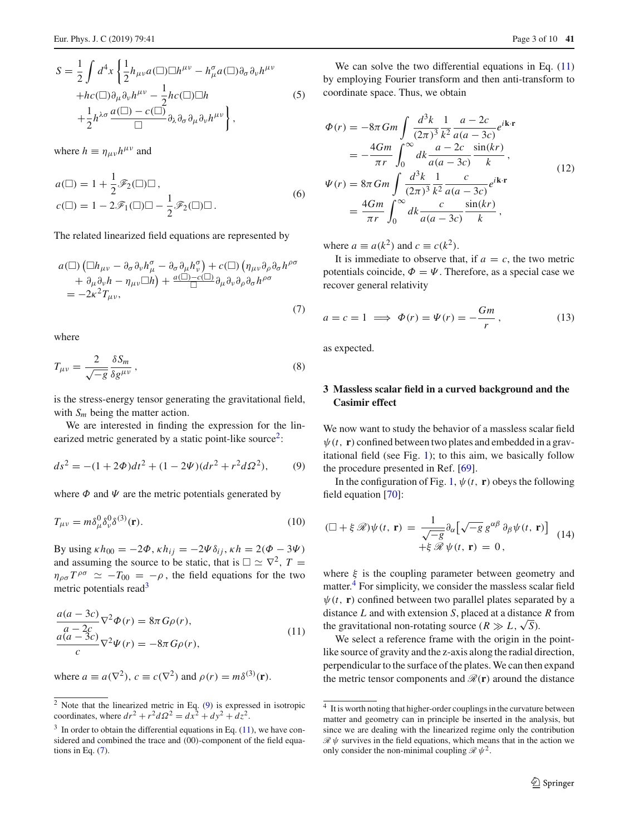where  $h \equiv \eta_{\mu\nu}h^{\mu\nu}$  and

$$
a(\square) = 1 + \frac{1}{2} \mathcal{F}_2(\square) \square,
$$
  
\n
$$
c(\square) = 1 - 2\mathcal{F}_1(\square) \square - \frac{1}{2} \mathcal{F}_2(\square) \square.
$$
\n(6)

The related linearized field equations are represented by

$$
a(\Box) (\Box h_{\mu\nu} - \partial_{\sigma} \partial_{\nu} h^{\sigma}_{\mu} - \partial_{\sigma} \partial_{\mu} h^{\sigma}_{\nu}) + c(\Box) (\eta_{\mu\nu} \partial_{\rho} \partial_{\sigma} h^{\rho \sigma} + \partial_{\mu} \partial_{\nu} h - \eta_{\mu\nu} \Box h) + \frac{a(\Box) - c(\Box)}{\Box} \partial_{\mu} \partial_{\nu} \partial_{\rho} \partial_{\sigma} h^{\rho \sigma} = -2\kappa^2 T_{\mu\nu},
$$
\n(7)

where

$$
T_{\mu\nu} = \frac{2}{\sqrt{-g}} \frac{\delta S_m}{\delta g^{\mu\nu}},\tag{8}
$$

is the stress-energy tensor generating the gravitational field, with  $S_m$  being the matter action.

We are interested in finding the expression for the linearized metric generated by a static point-like source<sup>2</sup>:

$$
ds^{2} = -(1 + 2\Phi)dt^{2} + (1 - 2\Psi)(dr^{2} + r^{2}d\Omega^{2}),
$$
 (9)

where  $\Phi$  and  $\Psi$  are the metric potentials generated by

$$
T_{\mu\nu} = m\delta^0_\mu \delta^0_\nu \delta^{(3)}(\mathbf{r}).\tag{10}
$$

By using  $\kappa h_{00} = -2\Phi$ ,  $\kappa h_{ij} = -2\Psi \delta_{ij}$ ,  $\kappa h = 2(\Phi - 3\Psi)$ and assuming the source to be static, that is  $\square \simeq \nabla^2$ ,  $T =$  $\eta_{\rho\sigma}T^{\rho\sigma} \simeq -T_{00} = -\rho$ , the field equations for the two metric potentials read<sup>3</sup>

<span id="page-2-4"></span>
$$
\frac{a(a-3c)}{a-a-2c} \nabla^2 \Phi(r) = 8\pi G\rho(r),
$$
  
\n
$$
\frac{a(a-3c)}{c} \nabla^2 \Psi(r) = -8\pi G\rho(r),
$$
\n(11)

where  $a \equiv a(\nabla^2)$ ,  $c \equiv c(\nabla^2)$  and  $\rho(r) = m\delta^{(3)}(\mathbf{r})$ .

We can solve the two differential equations in Eq.  $(11)$ by employing Fourier transform and then anti-transform to coordinate space. Thus, we obtain

<span id="page-2-7"></span>
$$
\Phi(r) = -8\pi Gm \int \frac{d^3k}{(2\pi)^3} \frac{1}{k^2} \frac{a - 2c}{a(a - 3c)} e^{i\mathbf{k} \cdot \mathbf{r}}
$$
  
\n
$$
= -\frac{4Gm}{\pi r} \int_0^\infty dk \frac{a - 2c}{a(a - 3c)} \frac{\sin(kr)}{k},
$$
  
\n
$$
\Psi(r) = 8\pi Gm \int \frac{d^3k}{(2\pi)^3} \frac{1}{k^2} \frac{c}{a(a - 3c)} e^{i\mathbf{k} \cdot \mathbf{r}}
$$
  
\n
$$
= \frac{4Gm}{\pi r} \int_0^\infty dk \frac{c}{a(a - 3c)} \frac{\sin(kr)}{k},
$$
\n(12)

<span id="page-2-5"></span>where  $a \equiv a(k^2)$  and  $c \equiv c(k^2)$ .

It is immediate to observe that, if  $a = c$ , the two metric potentials coincide,  $\Phi = \Psi$ . Therefore, as a special case we recover general relativity

$$
a = c = 1 \implies \Phi(r) = \Psi(r) = -\frac{Gm}{r}, \tag{13}
$$

as expected.

## <span id="page-2-0"></span>**3 Massless scalar field in a curved background and the Casimir effect**

<span id="page-2-3"></span>We now want to study the behavior of a massless scalar field  $\psi(t, r)$  confined between two plates and embedded in a gravitational field (see Fig. [1\)](#page-3-0); to this aim, we basically follow the procedure presented in Ref. [\[69\]](#page-9-4).

<span id="page-2-8"></span>In the configuration of Fig. [1,](#page-3-0)  $\psi(t, \mathbf{r})$  obeys the following field equation [\[70](#page-9-5)]:

$$
(\Box + \xi \mathcal{R})\psi(t, \mathbf{r}) = \frac{1}{\sqrt{-g}} \partial_{\alpha} \left[\sqrt{-g} g^{\alpha\beta} \partial_{\beta} \psi(t, \mathbf{r})\right] \tag{14} + \xi \mathcal{R} \psi(t, \mathbf{r}) = 0,
$$

where  $\xi$  is the coupling parameter between geometry and matter.<sup>[4](#page-2-6)</sup> For simplicity, we consider the massless scalar field  $\psi(t, r)$  confined between two parallel plates separated by a distance *L* and with extension *S*, placed at a distance *R* from the gravitational non-rotating source  $(R \gg L, \sqrt{S})$ .

We select a reference frame with the origin in the pointlike source of gravity and the z-axis along the radial direction, perpendicular to the surface of the plates. We can then expand the metric tensor components and  $\mathcal{R}(\mathbf{r})$  around the distance

<span id="page-2-1"></span> $2$  Note that the linearized metric in Eq. [\(9\)](#page-2-3) is expressed in isotropic coordinates, where  $dr^2 + r^2 d\Omega^2 = dx^2 + dy^2 + dz^2$ .

<span id="page-2-2"></span> $3\,$  In order to obtain the differential equations in Eq. [\(11\)](#page-2-4), we have considered and combined the trace and (00)-component of the field equations in Eq.  $(7)$ .

<span id="page-2-6"></span><sup>4</sup> It is worth noting that higher-order couplings in the curvature between matter and geometry can in principle be inserted in the analysis, but since we are dealing with the linearized regime only the contribution  $\mathcal{R} \psi$  survives in the field equations, which means that in the action we only consider the non-minimal coupling  $\mathcal{R} \psi^2$ .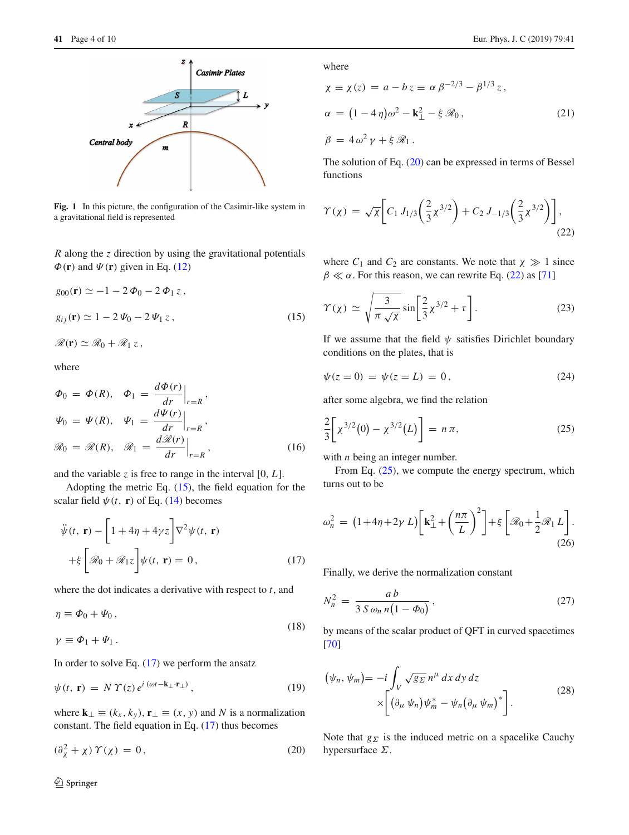

<span id="page-3-0"></span>Fig. 1 In this picture, the configuration of the Casimir-like system in a gravitational field is represented

*R* along the *z* direction by using the gravitational potentials  $\Phi(\mathbf{r})$  and  $\Psi(\mathbf{r})$  given in Eq. [\(12\)](#page-2-7)

<span id="page-3-1"></span>
$$
g_{00}(\mathbf{r}) \simeq -1 - 2 \Phi_0 - 2 \Phi_1 z,
$$
  
\n
$$
g_{ij}(\mathbf{r}) \simeq 1 - 2 \Psi_0 - 2 \Psi_1 z,
$$
  
\n
$$
\mathcal{R}(\mathbf{r}) \simeq \mathcal{R}_0 + \mathcal{R}_1 z,
$$
\n(15)

where

$$
\Phi_0 = \Phi(R), \quad \Phi_1 = \frac{d\Phi(r)}{dr}\Big|_{r=R},
$$
\n
$$
\Psi_0 = \Psi(R), \quad \Psi_1 = \frac{d\Psi(r)}{dr}\Big|_{r=R},
$$
\n
$$
\mathcal{R}_0 = \mathcal{R}(R), \quad \mathcal{R}_1 = \frac{d\mathcal{R}(r)}{dr}\Big|_{r=R},
$$
\n(16)

and the variable *z* is free to range in the interval  $[0, L]$ .

Adopting the metric Eq. [\(15\)](#page-3-1), the field equation for the scalar field  $\psi(t, \mathbf{r})$  of Eq. [\(14\)](#page-2-8) becomes

<span id="page-3-2"></span>
$$
\ddot{\psi}(t, \mathbf{r}) - \left[1 + 4\eta + 4\gamma z\right] \nabla^2 \psi(t, \mathbf{r})
$$
\n
$$
+ \xi \left[\mathcal{R}_0 + \mathcal{R}_1 z\right] \psi(t, \mathbf{r}) = 0, \qquad (17)
$$

where the dot indicates a derivative with respect to *t*, and

$$
\eta \equiv \Phi_0 + \Psi_0 \,, \tag{18}
$$

$$
\gamma \equiv \Phi_1 + \Psi_1 \,.
$$

In order to solve Eq.  $(17)$  we perform the ansatz

$$
\psi(t, \mathbf{r}) = N \Upsilon(z) e^{i (\omega t - \mathbf{k}_{\perp} \cdot \mathbf{r}_{\perp})}, \qquad (19)
$$

where  $\mathbf{k}_{\perp} \equiv (k_x, k_y), \mathbf{r}_{\perp} \equiv (x, y)$  and *N* is a normalization constant. The field equation in Eq. [\(17\)](#page-3-2) thus becomes

<span id="page-3-3"></span>
$$
(\partial_{\chi}^{2} + \chi) \Upsilon(\chi) = 0, \qquad (20)
$$

where

$$
\chi \equiv \chi(z) = a - b z \equiv \alpha \beta^{-2/3} - \beta^{1/3} z,
$$
  
\n
$$
\alpha = (1 - 4\eta)\omega^2 - \mathbf{k}_{\perp}^2 - \xi \mathcal{R}_0,
$$
  
\n
$$
\beta = 4\omega^2 \gamma + \xi \mathcal{R}_1.
$$
\n(21)

<span id="page-3-4"></span>The solution of Eq. [\(20\)](#page-3-3) can be expressed in terms of Bessel functions

$$
\Upsilon(\chi) = \sqrt{\chi} \bigg[ C_1 J_{1/3} \bigg( \frac{2}{3} \chi^{3/2} \bigg) + C_2 J_{-1/3} \bigg( \frac{2}{3} \chi^{3/2} \bigg) \bigg], \tag{22}
$$

where  $C_1$  and  $C_2$  are constants. We note that  $\chi \gg 1$  since  $\beta \ll \alpha$ . For this reason, we can rewrite Eq. [\(22\)](#page-3-4) as [\[71](#page-9-6)]

$$
\Upsilon(\chi) \simeq \sqrt{\frac{3}{\pi \sqrt{\chi}}} \sin \left[ \frac{2}{3} \chi^{3/2} + \tau \right]. \tag{23}
$$

If we assume that the field  $\psi$  satisfies Dirichlet boundary conditions on the plates, that is

$$
\psi(z=0) = \psi(z=L) = 0, \tag{24}
$$

after some algebra, we find the relation

<span id="page-3-5"></span>
$$
\frac{2}{3}\bigg[\chi^{3/2}(0) - \chi^{3/2}(L)\bigg] = n\,\pi,\tag{25}
$$

with *n* being an integer number.

From Eq. [\(25\)](#page-3-5), we compute the energy spectrum, which turns out to be

$$
\omega_n^2 = \left(1 + 4\eta + 2\gamma L\right) \left[\mathbf{k}_{\perp}^2 + \left(\frac{n\pi}{L}\right)^2\right] + \xi \left[\mathcal{R}_0 + \frac{1}{2}\mathcal{R}_1 L\right].\tag{26}
$$

Finally, we derive the normalization constant

$$
N_n^2 = \frac{ab}{3 \, S \, \omega_n \, n \left(1 - \Phi_0\right)}\,,\tag{27}
$$

by means of the scalar product of QFT in curved spacetimes [\[70](#page-9-5)]

$$
(\psi_n, \psi_m) = -i \int_V \sqrt{g \Sigma} n^{\mu} dx dy dz
$$
  
 
$$
\times \left[ (\partial_{\mu} \psi_n) \psi_m^* - \psi_n (\partial_{\mu} \psi_m)^* \right].
$$
 (28)

Note that  $g_{\Sigma}$  is the induced metric on a spacelike Cauchy hypersurface  $\Sigma$ .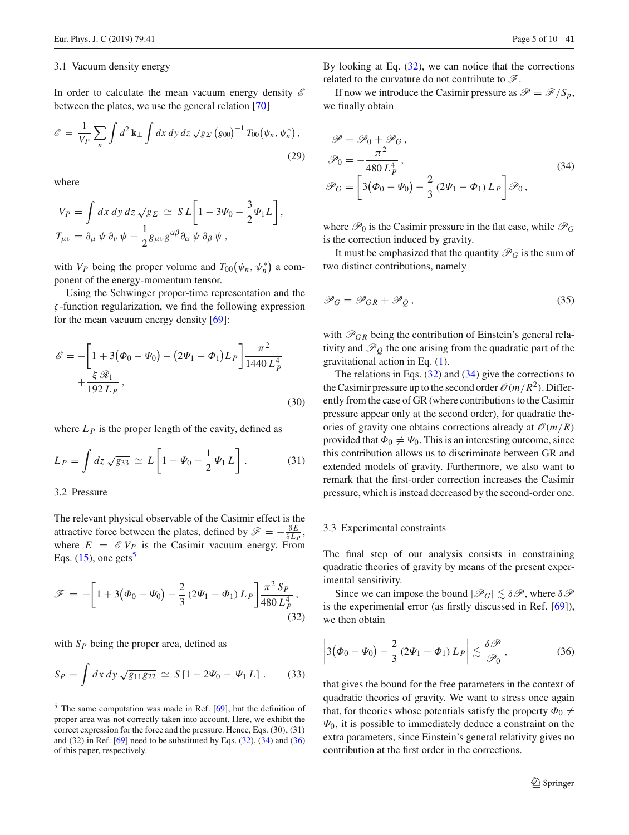#### 3.1 Vacuum density energy

In order to calculate the mean vacuum energy density *E* between the plates, we use the general relation [\[70](#page-9-5)]

$$
\mathscr{E} = \frac{1}{V_P} \sum_n \int d^2 \mathbf{k}_\perp \int dx \, dy \, dz \, \sqrt{g_{\Sigma}} \left( g_{00} \right)^{-1} T_{00} \left( \psi_n, \psi_n^* \right), \tag{29}
$$

where

$$
V_P = \int dx \, dy \, dz \sqrt{g_{\Sigma}} \simeq SL\bigg[1 - 3\Psi_0 - \frac{3}{2}\Psi_1 L\bigg],
$$
  
\n
$$
T_{\mu\nu} = \partial_{\mu} \psi \partial_{\nu} \psi - \frac{1}{2}g_{\mu\nu}g^{\alpha\beta}\partial_{\alpha} \psi \partial_{\beta} \psi,
$$

with  $V_P$  being the proper volume and  $T_{00}(\psi_n, \psi_n^*)$  a component of the energy-momentum tensor.

Using the Schwinger proper-time representation and the ζ -function regularization, we find the following expression for the mean vacuum energy density  $[69]$ :

$$
\mathcal{E} = -\left[1 + 3(\Phi_0 - \Psi_0) - (2\Psi_1 - \Phi_1)L_P\right] \frac{\pi^2}{1440 L_P^4} + \frac{\xi \mathcal{R}_1}{192 L_P},
$$
\n(30)

where  $L<sub>P</sub>$  is the proper length of the cavity, defined as

$$
L_P = \int dz \sqrt{g_{33}} \simeq L \left[ 1 - \Psi_0 - \frac{1}{2} \Psi_1 L \right].
$$
 (31)

#### 3.2 Pressure

The relevant physical observable of the Casimir effect is the attractive force between the plates, defined by  $\mathscr{F} = -\frac{\partial E}{\partial L_P}$ , where  $E = \mathscr{E} V_P$  is the Casimir vacuum energy. From Eqs.  $(15)$ , one gets<sup>[5](#page-4-0)</sup>

<span id="page-4-1"></span>
$$
\mathscr{F} = -\bigg[1 + 3(\Phi_0 - \Psi_0) - \frac{2}{3}(2\Psi_1 - \Phi_1)L_P\bigg]\frac{\pi^2 S_P}{480 L_P^4},\tag{32}
$$

with  $S_p$  being the proper area, defined as

$$
S_P = \int dx \, dy \, \sqrt{g_{11} g_{22}} \, \simeq \, S \left[ 1 - 2 \Psi_0 - \Psi_1 \, L \right] \, . \tag{33}
$$

By looking at Eq.  $(32)$ , we can notice that the corrections related to the curvature do not contribute to *F*.

<span id="page-4-2"></span>If now we introduce the Casimir pressure as  $\mathscr{P} = \mathscr{F}/S_p$ , we finally obtain

$$
\mathcal{P} = \mathcal{P}_0 + \mathcal{P}_G,
$$
  
\n
$$
\mathcal{P}_0 = -\frac{\pi^2}{480 L_P^4},
$$
  
\n
$$
\mathcal{P}_G = \left[3(\Phi_0 - \Psi_0) - \frac{2}{3}(2\Psi_1 - \Phi_1)L_P\right]\mathcal{P}_0,
$$
\n(34)

where  $\mathcal{P}_0$  is the Casimir pressure in the flat case, while  $\mathcal{P}_G$ is the correction induced by gravity.

It must be emphasized that the quantity  $\mathcal{P}_G$  is the sum of two distinct contributions, namely

$$
\mathcal{P}_G = \mathcal{P}_{GR} + \mathcal{P}_Q, \qquad (35)
$$

with  $\mathcal{P}_{GR}$  being the contribution of Einstein's general relativity and  $\mathcal{P}_0$  the one arising from the quadratic part of the gravitational action in Eq. [\(1\)](#page-1-1).

The relations in Eqs. [\(32\)](#page-4-1) and [\(34\)](#page-4-2) give the corrections to the Casimir pressure up to the second order  $\mathcal{O}(m/R^2)$ . Differently from the case of GR (where contributions to the Casimir pressure appear only at the second order), for quadratic theories of gravity one obtains corrections already at  $\mathcal{O}(m/R)$ provided that  $\Phi_0 \neq \Psi_0$ . This is an interesting outcome, since this contribution allows us to discriminate between GR and extended models of gravity. Furthermore, we also want to remark that the first-order correction increases the Casimir pressure, which is instead decreased by the second-order one.

#### 3.3 Experimental constraints

The final step of our analysis consists in constraining quadratic theories of gravity by means of the present experimental sensitivity.

Since we can impose the bound  $|\mathscr{P}_G| \leq \delta \mathscr{P}$ , where  $\delta \mathscr{P}$ is the experimental error (as firstly discussed in Ref. [\[69](#page-9-4)]), we then obtain

<span id="page-4-3"></span>
$$
\left|3(\Phi_0-\Psi_0)-\frac{2}{3}\left(2\Psi_1-\Phi_1\right)L_P\right|\lesssim \frac{\delta\mathcal{P}}{\mathcal{P}_0},\qquad(36)
$$

that gives the bound for the free parameters in the context of quadratic theories of gravity. We want to stress once again that, for theories whose potentials satisfy the property  $\Phi_0 \neq$  $\Psi_0$ , it is possible to immediately deduce a constraint on the extra parameters, since Einstein's general relativity gives no contribution at the first order in the corrections.

<span id="page-4-0"></span><sup>5</sup> The same computation was made in Ref. [\[69](#page-9-4)], but the definition of proper area was not correctly taken into account. Here, we exhibit the correct expression for the force and the pressure. Hence, Eqs. (30), (31) and  $(32)$  in Ref. [\[69\]](#page-9-4) need to be substituted by Eqs.  $(32)$ ,  $(34)$  and  $(36)$ of this paper, respectively.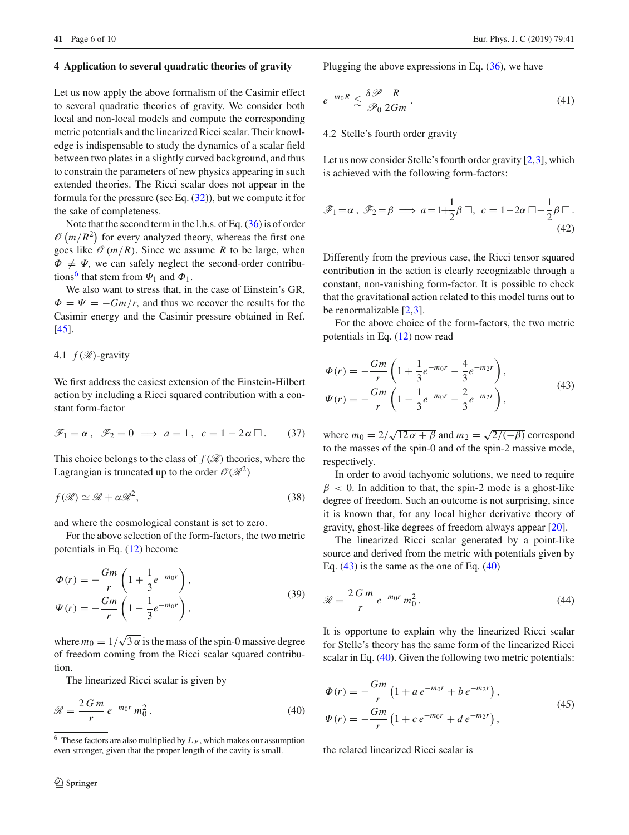#### <span id="page-5-0"></span>**4 Application to several quadratic theories of gravity**

Let us now apply the above formalism of the Casimir effect to several quadratic theories of gravity. We consider both local and non-local models and compute the corresponding metric potentials and the linearized Ricci scalar. Their knowledge is indispensable to study the dynamics of a scalar field between two plates in a slightly curved background, and thus to constrain the parameters of new physics appearing in such extended theories. The Ricci scalar does not appear in the formula for the pressure (see Eq.  $(32)$ ), but we compute it for the sake of completeness.

Note that the second term in the l.h.s. of Eq. [\(36\)](#page-4-3) is of order  $\mathcal{O}(m/R^2)$  for every analyzed theory, whereas the first one goes like  $\mathcal{O}(m/R)$ . Since we assume *R* to be large, when  $\Phi \neq \Psi$ , we can safely neglect the second-order contribu-tions<sup>[6](#page-5-1)</sup> that stem from  $\Psi_1$  and  $\Phi_1$ .

We also want to stress that, in the case of Einstein's GR,  $\Phi = \Psi = -Gm/r$ , and thus we recover the results for the Casimir energy and the Casimir pressure obtained in Ref. [\[45](#page-8-15)].

## 4.1  $f(\mathscr{R})$ -gravity

We first address the easiest extension of the Einstein-Hilbert action by including a Ricci squared contribution with a constant form-factor

$$
\mathscr{F}_1 = \alpha \,, \quad \mathscr{F}_2 = 0 \implies a = 1 \,, \quad c = 1 - 2\alpha \Box \,. \tag{37}
$$

This choice belongs to the class of  $f(\mathcal{R})$  theories, where the Lagrangian is truncated up to the order  $\mathcal{O}(\mathcal{R}^2)$ 

$$
f(\mathcal{R}) \simeq \mathcal{R} + \alpha \mathcal{R}^2,\tag{38}
$$

and where the cosmological constant is set to zero.

For the above selection of the form-factors, the two metric potentials in Eq. [\(12\)](#page-2-7) become

$$
\Phi(r) = -\frac{Gm}{r} \left( 1 + \frac{1}{3} e^{-m_0 r} \right), \n\Psi(r) = -\frac{Gm}{r} \left( 1 - \frac{1}{3} e^{-m_0 r} \right),
$$
\n(39)

where  $m_0 = 1/\sqrt{3\alpha}$  is the mass of the spin-0 massive degree of freedom coming from the Ricci scalar squared contribution.

The linearized Ricci scalar is given by

$$
\mathcal{R} = \frac{2\,G\,m}{r}\,e^{-m_0r}\,m_0^2\,. \tag{40}
$$

<span id="page-5-5"></span>Plugging the above expressions in Eq.  $(36)$ , we have

$$
e^{-m_0 R} \lesssim \frac{\delta \mathcal{P}}{\mathcal{P}_0} \frac{R}{2Gm} \,. \tag{41}
$$

## 4.2 Stelle's fourth order gravity

Let us now consider Stelle's fourth order gravity [\[2](#page-8-1)[,3](#page-8-2)], which is achieved with the following form-factors:

$$
\mathscr{F}_1 = \alpha \,, \ \mathscr{F}_2 = \beta \implies a = 1 + \frac{1}{2}\beta \Box, \ c = 1 - 2\alpha \Box - \frac{1}{2}\beta \Box.
$$
\n(42)

Differently from the previous case, the Ricci tensor squared contribution in the action is clearly recognizable through a constant, non-vanishing form-factor. It is possible to check that the gravitational action related to this model turns out to be renormalizable [\[2,](#page-8-1)[3\]](#page-8-2).

<span id="page-5-2"></span>For the above choice of the form-factors, the two metric potentials in Eq. [\(12\)](#page-2-7) now read

$$
\Phi(r) = -\frac{Gm}{r} \left( 1 + \frac{1}{3} e^{-m_0 r} - \frac{4}{3} e^{-m_2 r} \right),
$$
  
\n
$$
\Psi(r) = -\frac{Gm}{r} \left( 1 - \frac{1}{3} e^{-m_0 r} - \frac{2}{3} e^{-m_2 r} \right),
$$
\n(43)

where  $m_0 = 2/\sqrt{12 \alpha + \beta}$  and  $m_2 = \sqrt{2/(-\beta)}$  correspond to the masses of the spin-0 and of the spin-2 massive mode, respectively.

In order to avoid tachyonic solutions, we need to require  $\beta$  < 0. In addition to that, the spin-2 mode is a ghost-like degree of freedom. Such an outcome is not surprising, since it is known that, for any local higher derivative theory of gravity, ghost-like degrees of freedom always appear [\[20](#page-8-16)].

The linearized Ricci scalar generated by a point-like source and derived from the metric with potentials given by Eq.  $(43)$  is the same as the one of Eq.  $(40)$ 

<span id="page-5-4"></span>
$$
\mathcal{R} = \frac{2\,G\,m}{r}\,e^{-m_0r}\,m_0^2\,. \tag{44}
$$

It is opportune to explain why the linearized Ricci scalar for Stelle's theory has the same form of the linearized Ricci scalar in Eq. [\(40\)](#page-5-3). Given the following two metric potentials:

<span id="page-5-3"></span>
$$
\Phi(r) = -\frac{Gm}{r} \left( 1 + a \, e^{-m_0 r} + b \, e^{-m_2 r} \right),
$$
\n
$$
\Psi(r) = -\frac{Gm}{r} \left( 1 + c \, e^{-m_0 r} + d \, e^{-m_2 r} \right),
$$
\n(45)

the related linearized Ricci scalar is

<span id="page-5-1"></span> $6$  These factors are also multiplied by  $L_P$ , which makes our assumption even stronger, given that the proper length of the cavity is small.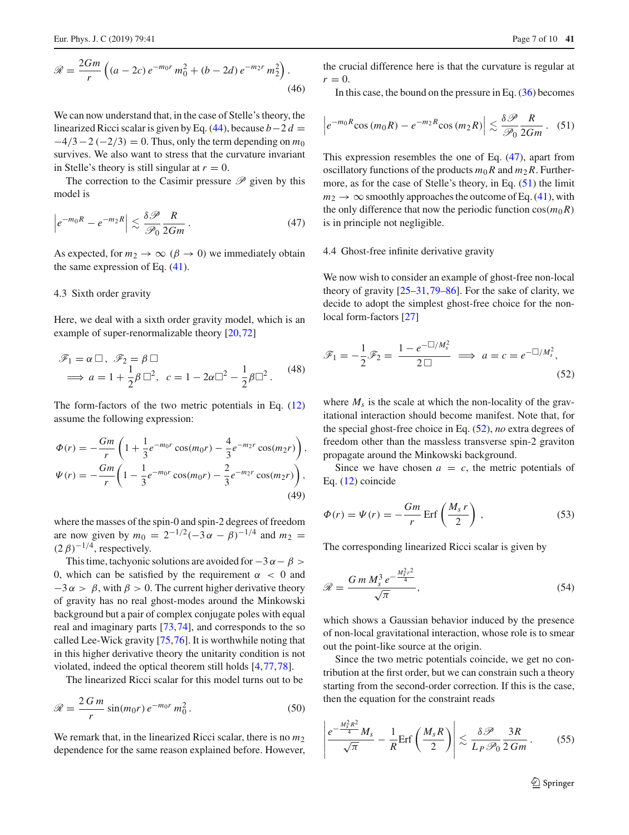$$
\mathcal{R} = \frac{2Gm}{r} \left( (a - 2c) e^{-m_0 r} m_0^2 + (b - 2d) e^{-m_2 r} m_2^2 \right). \tag{46}
$$

We can now understand that, in the case of Stelle's theory, the linearized Ricci scalar is given by Eq.  $(44)$ , because *b* − 2 *d* =  $-4/3 - 2(-2/3) = 0$ . Thus, only the term depending on  $m_0$ survives. We also want to stress that the curvature invariant in Stelle's theory is still singular at  $r = 0$ .

<span id="page-6-0"></span>The correction to the Casimir pressure  $\mathscr P$  given by this model is

$$
\left| e^{-m_0 R} - e^{-m_2 R} \right| \lesssim \frac{\delta \mathcal{P}}{\mathcal{P}_0} \frac{R}{2Gm} \,. \tag{47}
$$

As expected, for  $m_2 \to \infty$  ( $\beta \to 0$ ) we immediately obtain the same expression of Eq. [\(41\)](#page-5-5).

#### 4.3 Sixth order gravity

Here, we deal with a sixth order gravity model, which is an example of super-renormalizable theory [\[20](#page-8-16)[,72](#page-9-7)]

$$
\mathscr{F}_1 = \alpha \square, \ \mathscr{F}_2 = \beta \square
$$
  
\n
$$
\implies a = 1 + \frac{1}{2}\beta \square^2, \ \ c = 1 - 2\alpha \square^2 - \frac{1}{2}\beta \square^2. \tag{48}
$$

The form-factors of the two metric potentials in Eq. [\(12\)](#page-2-7) assume the following expression:

$$
\Phi(r) = -\frac{Gm}{r} \left( 1 + \frac{1}{3} e^{-m_0 r} \cos(m_0 r) - \frac{4}{3} e^{-m_2 r} \cos(m_2 r) \right),
$$
  

$$
\Psi(r) = -\frac{Gm}{r} \left( 1 - \frac{1}{3} e^{-m_0 r} \cos(m_0 r) - \frac{2}{3} e^{-m_2 r} \cos(m_2 r) \right),
$$
(49)

where the masses of the spin-0 and spin-2 degrees of freedom are now given by  $m_0 = 2^{-1/2}(-3\alpha - \beta)^{-1/4}$  and  $m_2 =$  $(2 \beta)^{-1/4}$ , respectively.

This time, tachyonic solutions are avoided for  $-3 \alpha - \beta >$ 0, which can be satisfied by the requirement  $\alpha < 0$  and  $-3 \alpha > \beta$ , with  $\beta > 0$ . The current higher derivative theory of gravity has no real ghost-modes around the Minkowski background but a pair of complex conjugate poles with equal real and imaginary parts [\[73,](#page-9-8)[74\]](#page-9-9), and corresponds to the so called Lee-Wick gravity [\[75,](#page-9-10)[76\]](#page-9-11). It is worthwhile noting that in this higher derivative theory the unitarity condition is not violated, indeed the optical theorem still holds [\[4](#page-8-7),[77,](#page-9-12)[78\]](#page-9-13).

The linearized Ricci scalar for this model turns out to be

$$
\mathcal{R} = \frac{2 \, G \, m}{r} \sin(m_0 r) \, e^{-m_0 r} \, m_0^2 \,. \tag{50}
$$

We remark that, in the linearized Ricci scalar, there is no  $m_2$ dependence for the same reason explained before. However, the crucial difference here is that the curvature is regular at  $r=0$ .

<span id="page-6-1"></span>In this case, the bound on the pressure in Eq.  $(36)$  becomes

$$
\left|e^{-m_0R}\cos{(m_0R)}-e^{-m_2R}\cos{(m_2R)}\right|\lesssim \frac{\delta \mathscr{P}}{\mathscr{P}_0}\frac{R}{2Gm}.\quad(51)
$$

This expression resembles the one of Eq. [\(47\)](#page-6-0), apart from oscillatory functions of the products  $m_0R$  and  $m_2R$ . Furthermore, as for the case of Stelle's theory, in Eq. [\(51\)](#page-6-1) the limit  $m_2 \rightarrow \infty$  smoothly approaches the outcome of Eq. [\(41\)](#page-5-5), with the only difference that now the periodic function  $cos(m_0R)$ is in principle not negligible.

#### 4.4 Ghost-free infinite derivative gravity

We now wish to consider an example of ghost-free non-local theory of gravity [\[25](#page-8-20)[–31](#page-8-10)[,79](#page-9-14)[–86](#page-9-15)]. For the sake of clarity, we decide to adopt the simplest ghost-free choice for the nonlocal form-factors [\[27](#page-8-19)]

<span id="page-6-2"></span>
$$
\mathscr{F}_1 = -\frac{1}{2}\mathscr{F}_2 = \frac{1 - e^{-\Box/M_s^2}}{2\Box} \implies a = c = e^{-\Box/M_s^2},\tag{52}
$$

where  $M<sub>s</sub>$  is the scale at which the non-locality of the gravitational interaction should become manifest. Note that, for the special ghost-free choice in Eq. [\(52\)](#page-6-2), *no* extra degrees of freedom other than the massless transverse spin-2 graviton propagate around the Minkowski background.

<span id="page-6-3"></span>Since we have chosen  $a = c$ , the metric potentials of Eq. [\(12\)](#page-2-7) coincide

$$
\Phi(r) = \Psi(r) = -\frac{Gm}{r} \operatorname{Erf}\left(\frac{M_s r}{2}\right),\tag{53}
$$

The corresponding linearized Ricci scalar is given by

$$
\mathcal{R} = \frac{G \, m \, M_s^3 \, e^{-\frac{M_s^2 r^2}{4}}}{\sqrt{\pi}},\tag{54}
$$

which shows a Gaussian behavior induced by the presence of non-local gravitational interaction, whose role is to smear out the point-like source at the origin.

Since the two metric potentials coincide, we get no contribution at the first order, but we can constrain such a theory starting from the second-order correction. If this is the case, then the equation for the constraint reads

<span id="page-6-4"></span>
$$
\left|\frac{e^{-\frac{M_s^2 R^2}{4}} M_s}{\sqrt{\pi}} - \frac{1}{R} \text{Erf}\left(\frac{M_s R}{2}\right)\right| \lesssim \frac{\delta \mathcal{P}}{L_P \mathcal{P}_0} \frac{3R}{2\,Gm} \,. \tag{55}
$$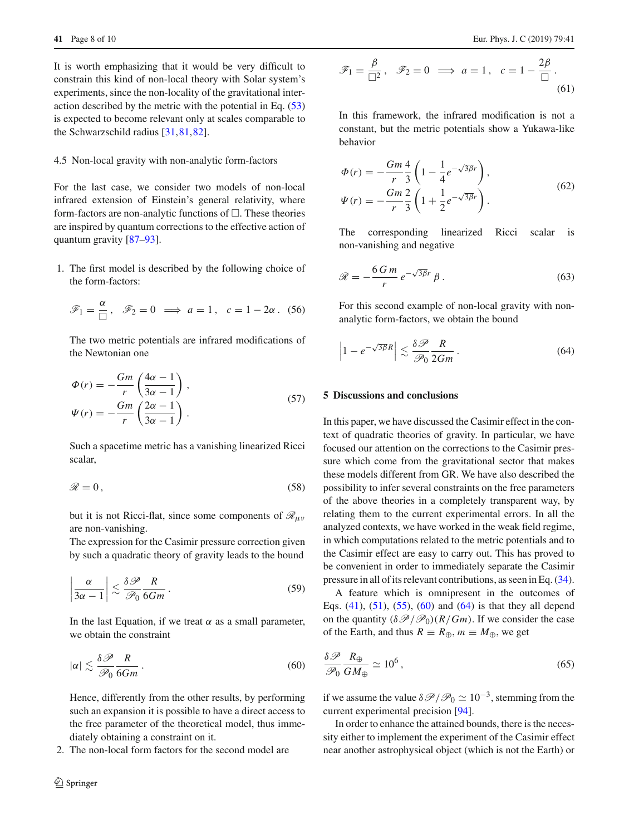It is worth emphasizing that it would be very difficult to constrain this kind of non-local theory with Solar system's experiments, since the non-locality of the gravitational interaction described by the metric with the potential in Eq. [\(53\)](#page-6-3) is expected to become relevant only at scales comparable to the Schwarzschild radius [\[31](#page-8-10),[81,](#page-9-16)[82\]](#page-9-17).

## 4.5 Non-local gravity with non-analytic form-factors

For the last case, we consider two models of non-local infrared extension of Einstein's general relativity, where form-factors are non-analytic functions of  $\Box$ . These theories are inspired by quantum corrections to the effective action of quantum gravity [\[87](#page-9-18)[–93](#page-9-19)].

1. The first model is described by the following choice of the form-factors:

$$
\mathscr{F}_1 = \frac{\alpha}{\Box}, \quad \mathscr{F}_2 = 0 \implies a = 1, \quad c = 1 - 2\alpha. \tag{56}
$$

The two metric potentials are infrared modifications of the Newtonian one

$$
\Phi(r) = -\frac{Gm}{r} \left( \frac{4\alpha - 1}{3\alpha - 1} \right),
$$
  
\n
$$
\Psi(r) = -\frac{Gm}{r} \left( \frac{2\alpha - 1}{3\alpha - 1} \right).
$$
\n(57)

Such a spacetime metric has a vanishing linearized Ricci scalar,

$$
\mathscr{R} = 0, \tag{58}
$$

but it is not Ricci-flat, since some components of *R*μν are non-vanishing.

The expression for the Casimir pressure correction given by such a quadratic theory of gravity leads to the bound

$$
\left|\frac{\alpha}{3\alpha - 1}\right| \lesssim \frac{\delta \mathcal{P}}{\mathcal{P}_0} \frac{R}{6Gm} \,. \tag{59}
$$

<span id="page-7-1"></span>In the last Equation, if we treat  $\alpha$  as a small parameter, we obtain the constraint

$$
|\alpha| \lesssim \frac{\delta \mathcal{P}}{\mathcal{P}_0} \frac{R}{6Gm} \,. \tag{60}
$$

Hence, differently from the other results, by performing such an expansion it is possible to have a direct access to the free parameter of the theoretical model, thus immediately obtaining a constraint on it.

2. The non-local form factors for the second model are

$$
\mathscr{F}_1 = \frac{\beta}{\Box^2}, \quad \mathscr{F}_2 = 0 \implies a = 1, \quad c = 1 - \frac{2\beta}{\Box}.
$$
\n(61)

In this framework, the infrared modification is not a constant, but the metric potentials show a Yukawa-like behavior

$$
\Phi(r) = -\frac{Gm}{r} \frac{4}{3} \left( 1 - \frac{1}{4} e^{-\sqrt{3\beta}r} \right), \n\Psi(r) = -\frac{Gm}{r} \frac{2}{3} \left( 1 + \frac{1}{2} e^{-\sqrt{3\beta}r} \right).
$$
\n(62)

The corresponding linearized Ricci scalar is non-vanishing and negative

$$
\mathcal{R} = -\frac{6\,G\,m}{r}\,e^{-\sqrt{3\beta}r}\,\beta\,. \tag{63}
$$

For this second example of non-local gravity with nonanalytic form-factors, we obtain the bound

<span id="page-7-2"></span>
$$
\left|1 - e^{-\sqrt{3\beta}R}\right| \lesssim \frac{\delta \mathcal{P}}{\mathcal{P}_0} \frac{R}{2Gm} \,. \tag{64}
$$

### <span id="page-7-0"></span>**5 Discussions and conclusions**

In this paper, we have discussed the Casimir effect in the context of quadratic theories of gravity. In particular, we have focused our attention on the corrections to the Casimir pressure which come from the gravitational sector that makes these models different from GR. We have also described the possibility to infer several constraints on the free parameters of the above theories in a completely transparent way, by relating them to the current experimental errors. In all the analyzed contexts, we have worked in the weak field regime, in which computations related to the metric potentials and to the Casimir effect are easy to carry out. This has proved to be convenient in order to immediately separate the Casimir pressure in all of its relevant contributions, as seen in Eq. [\(34\)](#page-4-2).

A feature which is omnipresent in the outcomes of Eqs.  $(41)$ ,  $(51)$ ,  $(55)$ ,  $(60)$  and  $(64)$  is that they all depend on the quantity  $(\delta \mathcal{P}/\mathcal{P}_0)(R/Gm)$ . If we consider the case of the Earth, and thus  $R \equiv R_{\oplus}, m \equiv M_{\oplus}$ , we get

$$
\frac{\delta \mathcal{P}}{\mathcal{P}_0} \frac{R_{\oplus}}{GM_{\oplus}} \simeq 10^6 \,, \tag{65}
$$

if we assume the value  $\delta\mathcal{P}/\mathcal{P}_0 \simeq 10^{-3}$ , stemming from the current experimental precision [\[94\]](#page-9-20).

In order to enhance the attained bounds, there is the necessity either to implement the experiment of the Casimir effect near another astrophysical object (which is not the Earth) or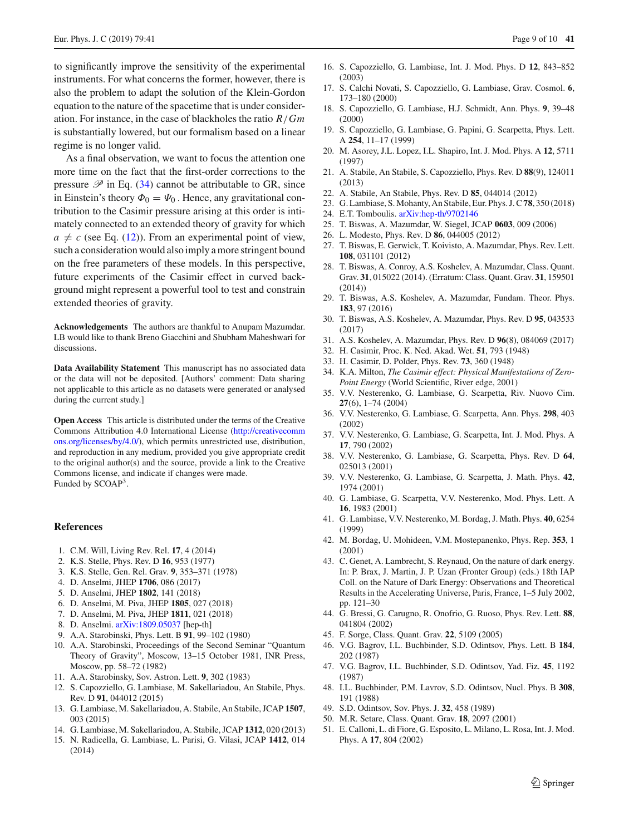to significantly improve the sensitivity of the experimental instruments. For what concerns the former, however, there is also the problem to adapt the solution of the Klein-Gordon equation to the nature of the spacetime that is under consideration. For instance, in the case of blackholes the ratio *R*/*Gm* is substantially lowered, but our formalism based on a linear regime is no longer valid.

As a final observation, we want to focus the attention one more time on the fact that the first-order corrections to the pressure  $\mathscr P$  in Eq. [\(34\)](#page-4-2) cannot be attributable to GR, since in Einstein's theory  $\Phi_0 = \Psi_0$ . Hence, any gravitational contribution to the Casimir pressure arising at this order is intimately connected to an extended theory of gravity for which  $a \neq c$  (see Eq. [\(12\)](#page-2-7)). From an experimental point of view, such a consideration would also imply a more stringent bound on the free parameters of these models. In this perspective, future experiments of the Casimir effect in curved background might represent a powerful tool to test and constrain extended theories of gravity.

**Acknowledgements** The authors are thankful to Anupam Mazumdar. LB would like to thank Breno Giacchini and Shubham Maheshwari for discussions.

**Data Availability Statement** This manuscript has no associated data or the data will not be deposited. [Authors' comment: Data sharing not applicable to this article as no datasets were generated or analysed during the current study.]

**Open Access** This article is distributed under the terms of the Creative Commons Attribution 4.0 International License [\(http://creativecomm](http://creativecommons.org/licenses/by/4.0/) [ons.org/licenses/by/4.0/\)](http://creativecommons.org/licenses/by/4.0/), which permits unrestricted use, distribution, and reproduction in any medium, provided you give appropriate credit to the original author(s) and the source, provide a link to the Creative Commons license, and indicate if changes were made. Funded by SCOAP3.

#### **References**

- <span id="page-8-0"></span>1. C.M. Will, Living Rev. Rel. **17**, 4 (2014)
- <span id="page-8-1"></span>2. K.S. Stelle, Phys. Rev. D **16**, 953 (1977)
- <span id="page-8-2"></span>3. K.S. Stelle, Gen. Rel. Grav. **9**, 353–371 (1978)
- <span id="page-8-7"></span>4. D. Anselmi, JHEP **1706**, 086 (2017)
- 5. D. Anselmi, JHEP **1802**, 141 (2018)
- 6. D. Anselmi, M. Piva, JHEP **1805**, 027 (2018)
- 7. D. Anselmi, M. Piva, JHEP **1811**, 021 (2018)
- <span id="page-8-8"></span>8. D. Anselmi. [arXiv:1809.05037](http://arxiv.org/abs/1809.05037) [hep-th]
- <span id="page-8-3"></span>9. A.A. Starobinski, Phys. Lett. B **91**, 99–102 (1980)
- 10. A.A. Starobinski, Proceedings of the Second Seminar "Quantum Theory of Gravity", Moscow, 13–15 October 1981, INR Press, Moscow, pp. 58–72 (1982)
- <span id="page-8-4"></span>11. A.A. Starobinsky, Sov. Astron. Lett. **9**, 302 (1983)
- <span id="page-8-5"></span>12. S. Capozziello, G. Lambiase, M. Sakellariadou, An Stabile, Phys. Rev. D **91**, 044012 (2015)
- 13. G. Lambiase, M. Sakellariadou, A. Stabile, An Stabile, JCAP **1507**, 003 (2015)
- 14. G. Lambiase, M. Sakellariadou, A. Stabile, JCAP **1312**, 020 (2013)
- 15. N. Radicella, G. Lambiase, L. Parisi, G. Vilasi, JCAP **1412**, 014 (2014)
- 16. S. Capozziello, G. Lambiase, Int. J. Mod. Phys. D **12**, 843–852 (2003)
- 17. S. Calchi Novati, S. Capozziello, G. Lambiase, Grav. Cosmol. **6**, 173–180 (2000)
- 18. S. Capozziello, G. Lambiase, H.J. Schmidt, Ann. Phys. **9**, 39–48 (2000)
- 19. S. Capozziello, G. Lambiase, G. Papini, G. Scarpetta, Phys. Lett. A **254**, 11–17 (1999)
- <span id="page-8-16"></span>20. M. Asorey, J.L. Lopez, I.L. Shapiro, Int. J. Mod. Phys. A **12**, 5711 (1997)
- 21. A. Stabile, An Stabile, S. Capozziello, Phys. Rev. D **88**(9), 124011 (2013)
- 22. A. Stabile, An Stabile, Phys. Rev. D **85**, 044014 (2012)
- <span id="page-8-6"></span>23. G. Lambiase, S. Mohanty, An Stabile, Eur. Phys. J. C**78**, 350 (2018)
- <span id="page-8-9"></span>24. E.T. Tomboulis. [arXiv:hep-th/9702146](http://arxiv.org/abs/hep-th/9702146)
- <span id="page-8-20"></span>25. T. Biswas, A. Mazumdar, W. Siegel, JCAP **0603**, 009 (2006)
- <span id="page-8-17"></span>26. L. Modesto, Phys. Rev. D **86**, 044005 (2012)
- <span id="page-8-19"></span>27. T. Biswas, E. Gerwick, T. Koivisto, A. Mazumdar, Phys. Rev. Lett. **108**, 031101 (2012)
- 28. T. Biswas, A. Conroy, A.S. Koshelev, A. Mazumdar, Class. Quant. Grav. **31**, 015022 (2014). (Erratum: Class. Quant. Grav. **31**, 159501 (2014))
- 29. T. Biswas, A.S. Koshelev, A. Mazumdar, Fundam. Theor. Phys. **183**, 97 (2016)
- <span id="page-8-18"></span>30. T. Biswas, A.S. Koshelev, A. Mazumdar, Phys. Rev. D **95**, 043533 (2017)
- <span id="page-8-10"></span>31. A.S. Koshelev, A. Mazumdar, Phys. Rev. D **96**(8), 084069 (2017)
- <span id="page-8-11"></span>32. H. Casimir, Proc. K. Ned. Akad. Wet. **51**, 793 (1948)
- <span id="page-8-12"></span>33. H. Casimir, D. Polder, Phys. Rev. **73**, 360 (1948)
- <span id="page-8-13"></span>34. K.A. Milton, *The Casimir effect: Physical Manifestations of Zero-Point Energy* (World Scientific, River edge, 2001)
- 35. V.V. Nesterenko, G. Lambiase, G. Scarpetta, Riv. Nuovo Cim. **27**(6), 1–74 (2004)
- 36. V.V. Nesterenko, G. Lambiase, G. Scarpetta, Ann. Phys. **298**, 403 (2002)
- 37. V.V. Nesterenko, G. Lambiase, G. Scarpetta, Int. J. Mod. Phys. A **17**, 790 (2002)
- 38. V.V. Nesterenko, G. Lambiase, G. Scarpetta, Phys. Rev. D **64**, 025013 (2001)
- 39. V.V. Nesterenko, G. Lambiase, G. Scarpetta, J. Math. Phys. **42**, 1974 (2001)
- 40. G. Lambiase, G. Scarpetta, V.V. Nesterenko, Mod. Phys. Lett. A **16**, 1983 (2001)
- 41. G. Lambiase, V.V. Nesterenko, M. Bordag, J. Math. Phys. **40**, 6254 (1999)
- 42. M. Bordag, U. Mohideen, V.M. Mostepanenko, Phys. Rep. **353**, 1 (2001)
- 43. C. Genet, A. Lambrecht, S. Reynaud, On the nature of dark energy. In: P. Brax, J. Martin, J. P. Uzan (Fronter Group) (eds.) 18th IAP Coll. on the Nature of Dark Energy: Observations and Theoretical Results in the Accelerating Universe, Paris, France, 1–5 July 2002, pp. 121–30
- <span id="page-8-14"></span>44. G. Bressi, G. Carugno, R. Onofrio, G. Ruoso, Phys. Rev. Lett. **88**, 041804 (2002)
- <span id="page-8-15"></span>45. F. Sorge, Class. Quant. Grav. **22**, 5109 (2005)
- 46. V.G. Bagrov, I.L. Buchbinder, S.D. Odintsov, Phys. Lett. B **184**, 202 (1987)
- 47. V.G. Bagrov, I.L. Buchbinder, S.D. Odintsov, Yad. Fiz. **45**, 1192 (1987)
- 48. I.L. Buchbinder, P.M. Lavrov, S.D. Odintsov, Nucl. Phys. B **308**, 191 (1988)
- 49. S.D. Odintsov, Sov. Phys. J. **32**, 458 (1989)
- 50. M.R. Setare, Class. Quant. Grav. **18**, 2097 (2001)
- 51. E. Calloni, L. di Fiore, G. Esposito, L. Milano, L. Rosa, Int. J. Mod. Phys. A **17**, 804 (2002)